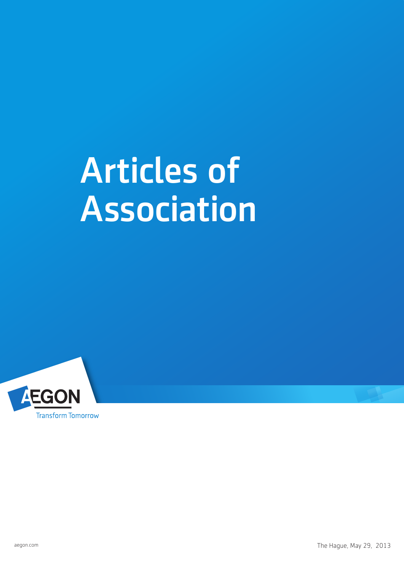# Articles of **Association**

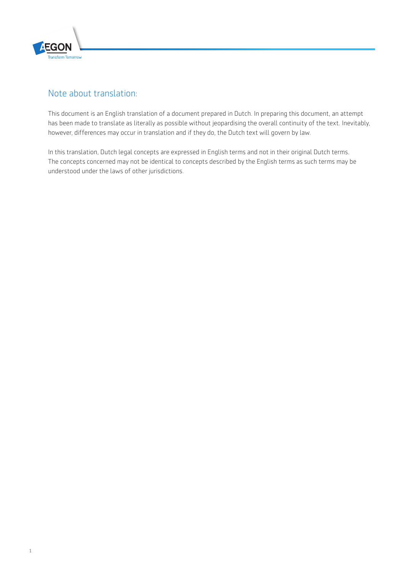

### Note about translation:

This document is an English translation of a document prepared in Dutch. In preparing this document, an attempt has been made to translate as literally as possible without jeopardising the overall continuity of the text. Inevitably, however, differences may occur in translation and if they do, the Dutch text will govern by law.

In this translation, Dutch legal concepts are expressed in English terms and not in their original Dutch terms. The concepts concerned may not be identical to concepts described by the English terms as such terms may be understood under the laws of other jurisdictions.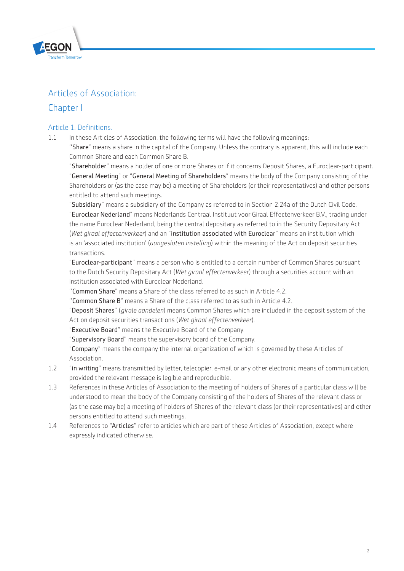

# Articles of Association:

## Chapter I

#### Article 1. Definitions.

1.1 In these Articles of Association, the following terms will have the following meanings:

''Share" means a share in the capital of the Company. Unless the contrary is apparent, this will include each Common Share and each Common Share B.

"Shareholder" means a holder of one or more Shares or if it concerns Deposit Shares, a Euroclear-participant. "General Meeting" or "General Meeting of Shareholders" means the body of the Company consisting of the Shareholders or (as the case may be) a meeting of Shareholders (or their representatives) and other persons entitled to attend such meetings.

"Subsidiary" means a subsidiary of the Company as referred to in Section 2:24a of the Dutch Civil Code. "Euroclear Nederland" means Nederlands Centraal Instituut voor Giraal Effectenverkeer B.V., trading under the name Euroclear Nederland, being the central depositary as referred to in the Security Depositary Act (*Wet giraal effectenverkeer*) and an "institution associated with Euroclear" means an institution which is an 'associated institution' (*aangesloten instelling*) within the meaning of the Act on deposit securities transactions.

"Euroclear-participant" means a person who is entitled to a certain number of Common Shares pursuant to the Dutch Security Depositary Act (*Wet giraal effectenverkeer*) through a securities account with an institution associated with Euroclear Nederland.

"Common Share" means a Share of the class referred to as such in Article 4.2.

''Common Share B" means a Share of the class referred to as such in Article 4.2.

"Deposit Shares" (*girale aandelen*) means Common Shares which are included in the deposit system of the Act on deposit securities transactions (*Wet giraal effectenverkeer*).

"Executive Board" means the Executive Board of the Company.

"Supervisory Board" means the supervisory board of the Company.

"Company" means the company the internal organization of which is governed by these Articles of Association.

- 1.2 "in writing" means transmitted by letter, telecopier, e-mail or any other electronic means of communication, provided the relevant message is legible and reproducible.
- 1.3 References in these Articles of Association to the meeting of holders of Shares of a particular class will be understood to mean the body of the Company consisting of the holders of Shares of the relevant class or (as the case may be) a meeting of holders of Shares of the relevant class (or their representatives) and other persons entitled to attend such meetings.
- 1.4 References to "Articles" refer to articles which are part of these Articles of Association, except where expressly indicated otherwise.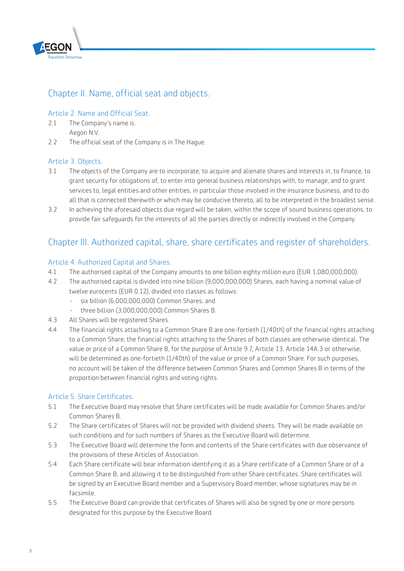

# Chapter II. Name, official seat and objects.

#### Article 2. Name and Official Seat.

- 2.1 The Company's name is: Aegon N.V.
- 2.2 The official seat of the Company is in The Hague.

#### Article 3. Objects.

- 3.1 The objects of the Company are to incorporate, to acquire and alienate shares and interests in, to finance, to grant security for obligations of, to enter into general business relationships with, to manage, and to grant services to, legal entities and other entities, in particular those involved in the insurance business, and to do all that is connected therewith or which may be conducive thereto, all to be interpreted in the broadest sense.
- 3.2 In achieving the aforesaid objects due regard will be taken, within the scope of sound business operations, to provide fair safeguards for the interests of all the parties directly or indirectly involved in the Company.

# Chapter III. Authorized capital, share, share certificates and register of shareholders.

#### Article 4. Authorized Capital and Shares.

- 4.1 The authorised capital of the Company amounts to one billion eighty million euro (EUR 1,080,000,000).
- 4.2 The authorised capital is divided into nine billion (9,000,000,000) Shares, each having a nominal value of twelve eurocents (EUR 0.12), divided into classes as follows:
	- six billion (6,000,000,000) Common Shares; and
	- three billion (3,000,000,000) Common Shares B.
- 4.3 All Shares will be registered Shares.
- 4.4 The financial rights attaching to a Common Share B are one-fortieth (1/40th) of the financial rights attaching to a Common Share; the financial rights attaching to the Shares of both classes are otherwise identical. The value or price of a Common Share B, for the purpose of Article 9.7, Article 13, Article 14A.3 or otherwise, will be determined as one-fortieth (1/40th) of the value or price of a Common Share. For such purposes, no account will be taken of the difference between Common Shares and Common Shares B in terms of the proportion between financial rights and voting rights.

#### Article 5. Share Certificates.

- 5.1 The Executive Board may resolve that Share certificates will be made available for Common Shares and/or Common Shares B.
- 5.2 The Share certificates of Shares will not be provided with dividend sheets. They will be made available on such conditions and for such numbers of Shares as the Executive Board will determine.
- 5.3 The Executive Board will determine the form and contents of the Share certificates with due observance of the provisions of these Articles of Association.
- 5.4 Each Share certificate will bear information identifying it as a Share certificate of a Common Share or of a Common Share B, and allowing it to be distinguished from other Share certificates. Share certificates will be signed by an Executive Board member and a Supervisory Board member, whose signatures may be in facsimile.
- 5.5 The Executive Board can provide that certificates of Shares will also be signed by one or more persons designated for this purpose by the Executive Board.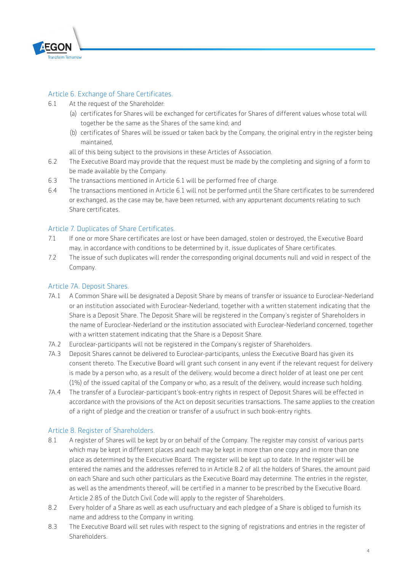

#### Article 6. Exchange of Share Certificates.

- 6.1 At the request of the Shareholder:
	- (a) certificates for Shares will be exchanged for certificates for Shares of different values whose total will together be the same as the Shares of the same kind; and
	- (b) certificates of Shares will be issued or taken back by the Company, the original entry in the register being maintained,
	- all of this being subject to the provisions in these Articles of Association.
- 6.2 The Executive Board may provide that the request must be made by the completing and signing of a form to be made available by the Company.
- 6.3 The transactions mentioned in Article 6.1 will be performed free of charge.
- 6.4 The transactions mentioned in Article 6.1 will not be performed until the Share certificates to be surrendered or exchanged, as the case may be, have been returned, with any appurtenant documents relating to such Share certificates.

#### Article 7. Duplicates of Share Certificates.

- 7.1 If one or more Share certificates are lost or have been damaged, stolen or destroyed, the Executive Board may, in accordance with conditions to be determined by it, issue duplicates of Share certificates.
- 7.2 The issue of such duplicates will render the corresponding original documents null and void in respect of the Company.

#### Article 7A. Deposit Shares.

- 7A.1 A Common Share will be designated a Deposit Share by means of transfer or issuance to Euroclear-Nederland or an institution associated with Euroclear-Nederland, together with a written statement indicating that the Share is a Deposit Share. The Deposit Share will be registered in the Company's register of Shareholders in the name of Euroclear-Nederland or the institution associated with Euroclear-Nederland concerned, together with a written statement indicating that the Share is a Deposit Share.
- 7A.2 Euroclear-participants will not be registered in the Company's register of Shareholders.
- 7A.3 Deposit Shares cannot be delivered to Euroclear-participants, unless the Executive Board has given its consent thereto. The Executive Board will grant such consent in any event if the relevant request for delivery is made by a person who, as a result of the delivery, would become a direct holder of at least one per cent (1%) of the issued capital of the Company or who, as a result of the delivery, would increase such holding.
- 7A.4 The transfer of a Euroclear-participant's book-entry rights in respect of Deposit Shares will be effected in accordance with the provisions of the Act on deposit securities transactions. The same applies to the creation of a right of pledge and the creation or transfer of a usufruct in such book-entry rights.

#### Article 8. Register of Shareholders.

- 8.1 A register of Shares will be kept by or on behalf of the Company. The register may consist of various parts which may be kept in different places and each may be kept in more than one copy and in more than one place as determined by the Executive Board. The register will be kept up to date. In the register will be entered the names and the addresses referred to in Article 8.2 of all the holders of Shares, the amount paid on each Share and such other particulars as the Executive Board may determine. The entries in the register, as well as the amendments thereof, will be certified in a manner to be prescribed by the Executive Board. Article 2:85 of the Dutch Civil Code will apply to the register of Shareholders.
- 8.2 Every holder of a Share as well as each usufructuary and each pledgee of a Share is obliged to furnish its name and address to the Company in writing.
- 8.3 The Executive Board will set rules with respect to the signing of registrations and entries in the register of **Shareholders**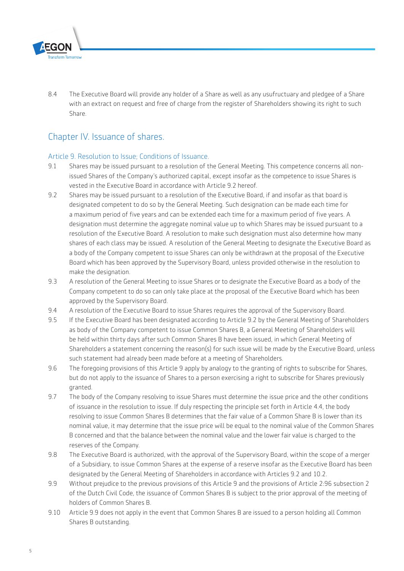

8.4 The Executive Board will provide any holder of a Share as well as any usufructuary and pledgee of a Share with an extract on request and free of charge from the register of Shareholders showing its right to such Share.

# Chapter IV. Issuance of shares.

#### Article 9. Resolution to Issue; Conditions of Issuance.

- 9.1 Shares may be issued pursuant to a resolution of the General Meeting. This competence concerns all nonissued Shares of the Company's authorized capital, except insofar as the competence to issue Shares is vested in the Executive Board in accordance with Article 9.2 hereof.
- 9.2 Shares may be issued pursuant to a resolution of the Executive Board, if and insofar as that board is designated competent to do so by the General Meeting. Such designation can be made each time for a maximum period of five years and can be extended each time for a maximum period of five years. A designation must determine the aggregate nominal value up to which Shares may be issued pursuant to a resolution of the Executive Board. A resolution to make such designation must also determine how many shares of each class may be issued. A resolution of the General Meeting to designate the Executive Board as a body of the Company competent to issue Shares can only be withdrawn at the proposal of the Executive Board which has been approved by the Supervisory Board, unless provided otherwise in the resolution to make the designation.
- 9.3 A resolution of the General Meeting to issue Shares or to designate the Executive Board as a body of the Company competent to do so can only take place at the proposal of the Executive Board which has been approved by the Supervisory Board.
- 9.4 A resolution of the Executive Board to issue Shares requires the approval of the Supervisory Board.
- 9.5 If the Executive Board has been designated according to Article 9.2 by the General Meeting of Shareholders as body of the Company competent to issue Common Shares B, a General Meeting of Shareholders will be held within thirty days after such Common Shares B have been issued, in which General Meeting of Shareholders a statement concerning the reason(s) for such issue will be made by the Executive Board, unless such statement had already been made before at a meeting of Shareholders.
- 9.6 The foregoing provisions of this Article 9 apply by analogy to the granting of rights to subscribe for Shares, but do not apply to the issuance of Shares to a person exercising a right to subscribe for Shares previously granted.
- 9.7 The body of the Company resolving to issue Shares must determine the issue price and the other conditions of issuance in the resolution to issue. If duly respecting the principle set forth in Article 4.4, the body resolving to issue Common Shares B determines that the fair value of a Common Share B is lower than its nominal value, it may determine that the issue price will be equal to the nominal value of the Common Shares B concerned and that the balance between the nominal value and the lower fair value is charged to the reserves of the Company.
- 9.8 The Executive Board is authorized, with the approval of the Supervisory Board, within the scope of a merger of a Subsidiary, to issue Common Shares at the expense of a reserve insofar as the Executive Board has been designated by the General Meeting of Shareholders in accordance with Articles 9.2 and 10.2.
- 9.9 Without prejudice to the previous provisions of this Article 9 and the provisions of Article 2:96 subsection 2 of the Dutch Civil Code, the issuance of Common Shares B is subject to the prior approval of the meeting of holders of Common Shares B.
- 9.10 Article 9.9 does not apply in the event that Common Shares B are issued to a person holding all Common Shares B outstanding.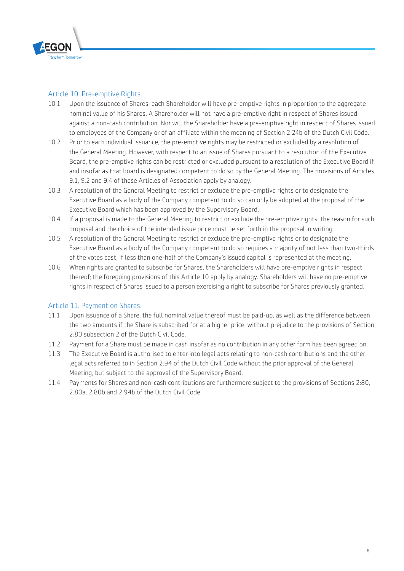

#### Article 10. Pre-emptive Rights.

- 10.1 Upon the issuance of Shares, each Shareholder will have pre-emptive rights in proportion to the aggregate nominal value of his Shares. A Shareholder will not have a pre-emptive right in respect of Shares issued against a non-cash contribution. Nor will the Shareholder have a pre-emptive right in respect of Shares issued to employees of the Company or of an affiliate within the meaning of Section 2:24b of the Dutch Civil Code.
- 10.2 Prior to each individual issuance, the pre-emptive rights may be restricted or excluded by a resolution of the General Meeting. However, with respect to an issue of Shares pursuant to a resolution of the Executive Board, the pre-emptive rights can be restricted or excluded pursuant to a resolution of the Executive Board if and insofar as that board is designated competent to do so by the General Meeting. The provisions of Articles 9.1, 9.2 and 9.4 of these Articles of Association apply by analogy.
- 10.3 A resolution of the General Meeting to restrict or exclude the pre-emptive rights or to designate the Executive Board as a body of the Company competent to do so can only be adopted at the proposal of the Executive Board which has been approved by the Supervisory Board.
- 10.4 If a proposal is made to the General Meeting to restrict or exclude the pre-emptive rights, the reason for such proposal and the choice of the intended issue price must be set forth in the proposal in writing.
- 10.5 A resolution of the General Meeting to restrict or exclude the pre-emptive rights or to designate the Executive Board as a body of the Company competent to do so requires a majority of not less than two-thirds of the votes cast, if less than one-half of the Company's issued capital is represented at the meeting.
- 10.6 When rights are granted to subscribe for Shares, the Shareholders will have pre-emptive rights in respect thereof; the foregoing provisions of this Article 10 apply by analogy. Shareholders will have no pre-emptive rights in respect of Shares issued to a person exercising a right to subscribe for Shares previously granted.

#### Article 11. Payment on Shares.

- 11.1 Upon issuance of a Share, the full nominal value thereof must be paid-up, as well as the difference between the two amounts if the Share is subscribed for at a higher price, without prejudice to the provisions of Section 2:80 subsection 2 of the Dutch Civil Code.
- 11.2 Payment for a Share must be made in cash insofar as no contribution in any other form has been agreed on.
- 11.3 The Executive Board is authorised to enter into legal acts relating to non-cash contributions and the other legal acts referred to in Section 2:94 of the Dutch Civil Code without the prior approval of the General Meeting, but subject to the approval of the Supervisory Board.
- 11.4 Payments for Shares and non-cash contributions are furthermore subject to the provisions of Sections 2:80, 2:80a, 2:80b and 2:94b of the Dutch Civil Code.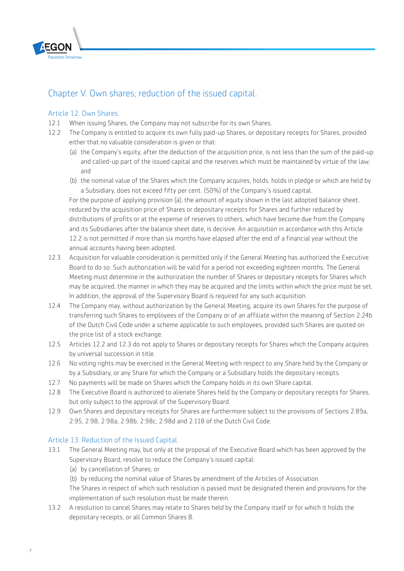

# Chapter V. Own shares; reduction of the issued capital.

#### Article 12. Own Shares.

- 12.1 When issuing Shares, the Company may not subscribe for its own Shares.
- 12.2 The Company is entitled to acquire its own fully paid-up Shares, or depositary receipts for Shares, provided either that no valuable consideration is given or that:
	- (a) the Company's equity, after the deduction of the acquisition price, is not less than the sum of the paid-up and called-up part of the issued capital and the reserves which must be maintained by virtue of the law; and
	- (b) the nominal value of the Shares which the Company acquires, holds, holds in pledge or which are held by a Subsidiary, does not exceed fifty per cent. (50%) of the Company's issued capital.

For the purpose of applying provision (a), the amount of equity shown in the last adopted balance sheet, reduced by the acquisition price of Shares or depositary receipts for Shares and further reduced by distributions of profits or at the expense of reserves to others, which have become due from the Company and its Subsidiaries after the balance sheet date, is decisive. An acquisition in accordance with this Article 12.2 is not permitted if more than six months have elapsed after the end of a financial year without the annual accounts having been adopted.

- 12.3 Acquisition for valuable consideration is permitted only if the General Meeting has authorized the Executive Board to do so. Such authorization will be valid for a period not exceeding eighteen months. The General Meeting must determine in the authorization the number of Shares or depositary receipts for Shares which may be acquired, the manner in which they may be acquired and the limits within which the price must be set. In addition, the approval of the Supervisory Board is required for any such acquisition.
- 12.4 The Company may, without authorization by the General Meeting, acquire its own Shares for the purpose of transferring such Shares to employees of the Company or of an affiliate within the meaning of Section 2:24b of the Dutch Civil Code under a scheme applicable to such employees, provided such Shares are quoted on the price list of a stock exchange.
- 12.5 Articles 12.2 and 12.3 do not apply to Shares or depositary receipts for Shares which the Company acquires by universal succession in title.
- 12.6 No voting rights may be exercised in the General Meeting with respect to any Share held by the Company or by a Subsidiary, or any Share for which the Company or a Subsidiary holds the depositary receipts.
- 12.7 No payments will be made on Shares which the Company holds in its own Share capital.
- 12.8 The Executive Board is authorized to alienate Shares held by the Company or depositary receipts for Shares, but only subject to the approval of the Supervisory Board.
- 12.9 Own Shares and depositary receipts for Shares are furthermore subject to the provisions of Sections 2:89a, 2:95, 2:98, 2:98a, 2:98b, 2:98c, 2:98d and 2:118 of the Dutch Civil Code.

#### Article 13. Reduction of the Issued Capital.

- 13.1 The General Meeting may, but only at the proposal of the Executive Board which has been approved by the Supervisory Board, resolve to reduce the Company's issued capital:
	- (a) by cancellation of Shares; or
	- (b) by reducing the nominal value of Shares by amendment of the Articles of Association.

The Shares in respect of which such resolution is passed must be designated therein and provisions for the implementation of such resolution must be made therein.

13.2 A resolution to cancel Shares may relate to Shares held by the Company itself or for which it holds the depositary receipts, or all Common Shares B.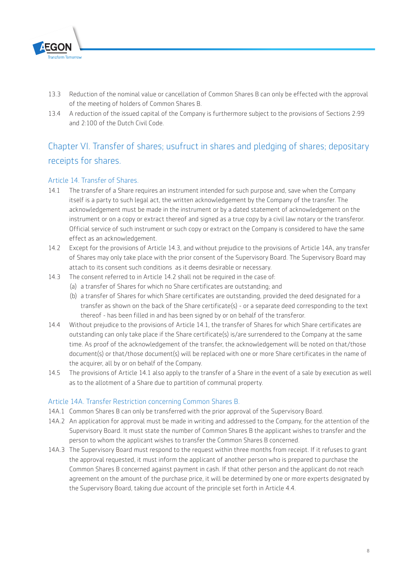

- 13.3 Reduction of the nominal value or cancellation of Common Shares B can only be effected with the approval of the meeting of holders of Common Shares B.
- 13.4 A reduction of the issued capital of the Company is furthermore subject to the provisions of Sections 2:99 and 2:100 of the Dutch Civil Code.

# Chapter VI. Transfer of shares; usufruct in shares and pledging of shares; depositary receipts for shares.

#### Article 14. Transfer of Shares.

- 14.1 The transfer of a Share requires an instrument intended for such purpose and, save when the Company itself is a party to such legal act, the written acknowledgement by the Company of the transfer. The acknowledgement must be made in the instrument or by a dated statement of acknowledgement on the instrument or on a copy or extract thereof and signed as a true copy by a civil law notary or the transferor. Official service of such instrument or such copy or extract on the Company is considered to have the same effect as an acknowledgement.
- 14.2 Except for the provisions of Article 14.3, and without prejudice to the provisions of Article 14A, any transfer of Shares may only take place with the prior consent of the Supervisory Board. The Supervisory Board may attach to its consent such conditions as it deems desirable or necessary.
- 14.3 The consent referred to in Article 14.2 shall not be required in the case of:
	- (a) a transfer of Shares for which no Share certificates are outstanding; and
	- (b) a transfer of Shares for which Share certificates are outstanding, provided the deed designated for a transfer as shown on the back of the Share certificate(s) - or a separate deed corresponding to the text thereof - has been filled in and has been signed by or on behalf of the transferor.
- 14.4 Without prejudice to the provisions of Article 14.1, the transfer of Shares for which Share certificates are outstanding can only take place if the Share certificate(s) is/are surrendered to the Company at the same time. As proof of the acknowledgement of the transfer, the acknowledgement will be noted on that/those document(s) or that/those document(s) will be replaced with one or more Share certificates in the name of the acquirer, all by or on behalf of the Company.
- 14.5 The provisions of Article 14.1 also apply to the transfer of a Share in the event of a sale by execution as well as to the allotment of a Share due to partition of communal property.

#### Article 14A. Transfer Restriction concerning Common Shares B.

- 14A.1 Common Shares B can only be transferred with the prior approval of the Supervisory Board.
- 14A.2 An application for approval must be made in writing and addressed to the Company, for the attention of the Supervisory Board. It must state the number of Common Shares B the applicant wishes to transfer and the person to whom the applicant wishes to transfer the Common Shares B concerned.
- 14A.3 The Supervisory Board must respond to the request within three months from receipt. If it refuses to grant the approval requested, it must inform the applicant of another person who is prepared to purchase the Common Shares B concerned against payment in cash. If that other person and the applicant do not reach agreement on the amount of the purchase price, it will be determined by one or more experts designated by the Supervisory Board, taking due account of the principle set forth in Article 4.4.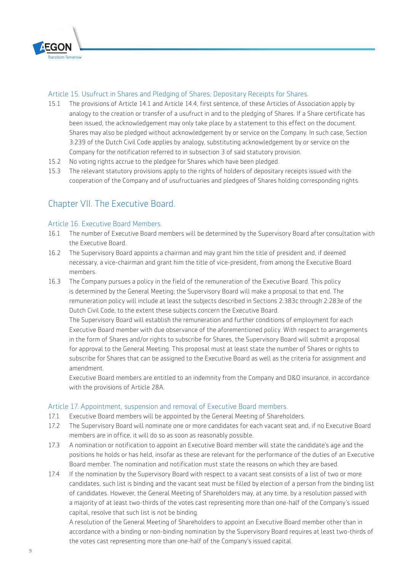

#### Article 15. Usufruct in Shares and Pledging of Shares; Depositary Receipts for Shares.

- 15.1 The provisions of Article 14.1 and Article 14.4, first sentence, of these Articles of Association apply by analogy to the creation or transfer of a usufruct in and to the pledging of Shares. If a Share certificate has been issued, the acknowledgement may only take place by a statement to this effect on the document. Shares may also be pledged without acknowledgement by or service on the Company. In such case, Section 3:239 of the Dutch Civil Code applies by analogy, substituting acknowledgement by or service on the Company for the notification referred to in subsection 3 of said statutory provision.
- 15.2 No voting rights accrue to the pledgee for Shares which have been pledged.
- 15.3 The relevant statutory provisions apply to the rights of holders of depositary receipts issued with the cooperation of the Company and of usufructuaries and pledgees of Shares holding corresponding rights.

# Chapter VII. The Executive Board.

#### Article 16. Executive Board Members.

- 16.1 The number of Executive Board members will be determined by the Supervisory Board after consultation with the Executive Board.
- 16.2 The Supervisory Board appoints a chairman and may grant him the title of president and, if deemed necessary, a vice-chairman and grant him the title of vice-president, from among the Executive Board members.
- 16.3 The Company pursues a policy in the field of the remuneration of the Executive Board. This policy is determined by the General Meeting; the Supervisory Board will make a proposal to that end. The remuneration policy will include at least the subjects described in Sections 2:383c through 2:283e of the Dutch Civil Code, to the extent these subjects concern the Executive Board.

The Supervisory Board will establish the remuneration and further conditions of employment for each Executive Board member with due observance of the aforementioned policy. With respect to arrangements in the form of Shares and/or rights to subscribe for Shares, the Supervisory Board will submit a proposal for approval to the General Meeting. This proposal must at least state the number of Shares or rights to subscribe for Shares that can be assigned to the Executive Board as well as the criteria for assignment and amendment.

Executive Board members are entitled to an indemnity from the Company and D&O insurance, in accordance with the provisions of Article 28A.

#### Article 17. Appointment, suspension and removal of Executive Board members.

- 17.1 Executive Board members will be appointed by the General Meeting of Shareholders.
- 17.2 The Supervisory Board will nominate one or more candidates for each vacant seat and, if no Executive Board members are in office, it will do so as soon as reasonably possible.
- 17.3 A nomination or notification to appoint an Executive Board member will state the candidate's age and the positions he holds or has held, insofar as these are relevant for the performance of the duties of an Executive Board member. The nomination and notification must state the reasons on which they are based.
- 17.4 If the nomination by the Supervisory Board with respect to a vacant seat consists of a list of two or more candidates, such list is binding and the vacant seat must be filled by election of a person from the binding list of candidates. However, the General Meeting of Shareholders may, at any time, by a resolution passed with a majority of at least two-thirds of the votes cast representing more than one-half of the Company's issued capital, resolve that such list is not be binding.

A resolution of the General Meeting of Shareholders to appoint an Executive Board member other than in accordance with a binding or non-binding nomination by the Supervisory Board requires at least two-thirds of the votes cast representing more than one-half of the Company's issued capital.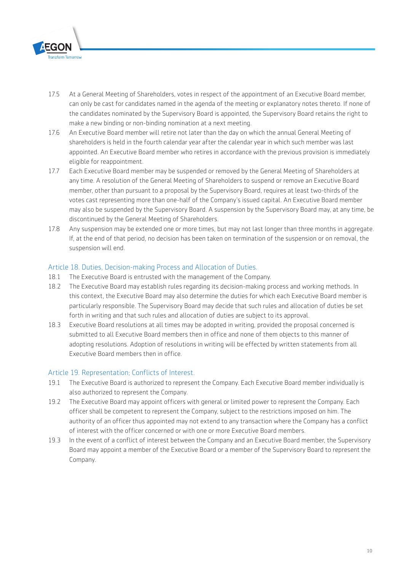

- 17.5 At a General Meeting of Shareholders, votes in respect of the appointment of an Executive Board member, can only be cast for candidates named in the agenda of the meeting or explanatory notes thereto. If none of the candidates nominated by the Supervisory Board is appointed, the Supervisory Board retains the right to make a new binding or non-binding nomination at a next meeting.
- 17.6 An Executive Board member will retire not later than the day on which the annual General Meeting of shareholders is held in the fourth calendar year after the calendar year in which such member was last appointed. An Executive Board member who retires in accordance with the previous provision is immediately eligible for reappointment.
- 17.7 Each Executive Board member may be suspended or removed by the General Meeting of Shareholders at any time. A resolution of the General Meeting of Shareholders to suspend or remove an Executive Board member, other than pursuant to a proposal by the Supervisory Board, requires at least two-thirds of the votes cast representing more than one-half of the Company's issued capital. An Executive Board member may also be suspended by the Supervisory Board. A suspension by the Supervisory Board may, at any time, be discontinued by the General Meeting of Shareholders.
- 17.8 Any suspension may be extended one or more times, but may not last longer than three months in aggregate. If, at the end of that period, no decision has been taken on termination of the suspension or on removal, the suspension will end.

#### Article 18. Duties, Decision-making Process and Allocation of Duties.

- 18.1 The Executive Board is entrusted with the management of the Company.
- 18.2 The Executive Board may establish rules regarding its decision-making process and working methods. In this context, the Executive Board may also determine the duties for which each Executive Board member is particularly responsible. The Supervisory Board may decide that such rules and allocation of duties be set forth in writing and that such rules and allocation of duties are subject to its approval.
- 18.3 Executive Board resolutions at all times may be adopted in writing, provided the proposal concerned is submitted to all Executive Board members then in office and none of them objects to this manner of adopting resolutions. Adoption of resolutions in writing will be effected by written statements from all Executive Board members then in office.

#### Article 19. Representation; Conflicts of Interest.

- 19.1 The Executive Board is authorized to represent the Company. Each Executive Board member individually is also authorized to represent the Company.
- 19.2 The Executive Board may appoint officers with general or limited power to represent the Company. Each officer shall be competent to represent the Company, subject to the restrictions imposed on him. The authority of an officer thus appointed may not extend to any transaction where the Company has a conflict of interest with the officer concerned or with one or more Executive Board members.
- 19.3 In the event of a conflict of interest between the Company and an Executive Board member, the Supervisory Board may appoint a member of the Executive Board or a member of the Supervisory Board to represent the Company.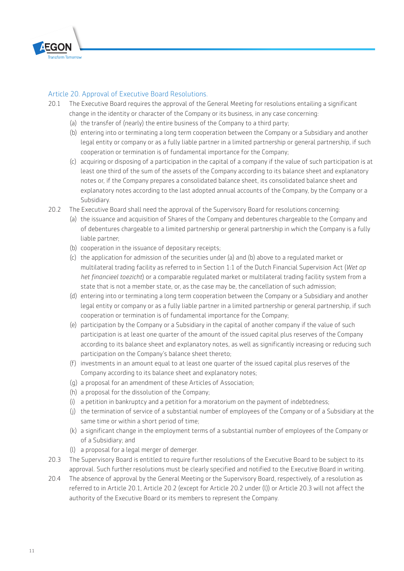

#### Article 20. Approval of Executive Board Resolutions.

- 20.1 The Executive Board requires the approval of the General Meeting for resolutions entailing a significant change in the identity or character of the Company or its business, in any case concerning:
	- (a) the transfer of (nearly) the entire business of the Company to a third party;
	- (b) entering into or terminating a long term cooperation between the Company or a Subsidiary and another legal entity or company or as a fully liable partner in a limited partnership or general partnership, if such cooperation or termination is of fundamental importance for the Company;
	- (c) acquiring or disposing of a participation in the capital of a company if the value of such participation is at least one third of the sum of the assets of the Company according to its balance sheet and explanatory notes or, if the Company prepares a consolidated balance sheet, its consolidated balance sheet and explanatory notes according to the last adopted annual accounts of the Company, by the Company or a Subsidiary.
- 20.2 The Executive Board shall need the approval of the Supervisory Board for resolutions concerning:
	- (a) the issuance and acquisition of Shares of the Company and debentures chargeable to the Company and of debentures chargeable to a limited partnership or general partnership in which the Company is a fully liable partner;
	- (b) cooperation in the issuance of depositary receipts;
	- (c) the application for admission of the securities under (a) and (b) above to a regulated market or multilateral trading facility as referred to in Section 1:1 of the Dutch Financial Supervision Act (*Wet op het financieel toezicht*) or a comparable regulated market or multilateral trading facility system from a state that is not a member state, or, as the case may be, the cancellation of such admission;
	- (d) entering into or terminating a long term cooperation between the Company or a Subsidiary and another legal entity or company or as a fully liable partner in a limited partnership or general partnership, if such cooperation or termination is of fundamental importance for the Company;
	- (e) participation by the Company or a Subsidiary in the capital of another company if the value of such participation is at least one quarter of the amount of the issued capital plus reserves of the Company according to its balance sheet and explanatory notes, as well as significantly increasing or reducing such participation on the Company's balance sheet thereto;
	- (f) investments in an amount equal to at least one quarter of the issued capital plus reserves of the Company according to its balance sheet and explanatory notes;
	- (g) a proposal for an amendment of these Articles of Association;
	- (h) a proposal for the dissolution of the Company;
	- (i) a petition in bankruptcy and a petition for a moratorium on the payment of indebtedness;
	- (j) the termination of service of a substantial number of employees of the Company or of a Subsidiary at the same time or within a short period of time;
	- (k) a significant change in the employment terms of a substantial number of employees of the Company or of a Subsidiary; and
	- (l) a proposal for a legal merger of demerger.
- 20.3 The Supervisory Board is entitled to require further resolutions of the Executive Board to be subject to its approval. Such further resolutions must be clearly specified and notified to the Executive Board in writing.
- 20.4 The absence of approval by the General Meeting or the Supervisory Board, respectively, of a resolution as referred to in Article 20.1, Article 20.2 (except for Article 20.2 under (l)) or Article 20.3 will not affect the authority of the Executive Board or its members to represent the Company.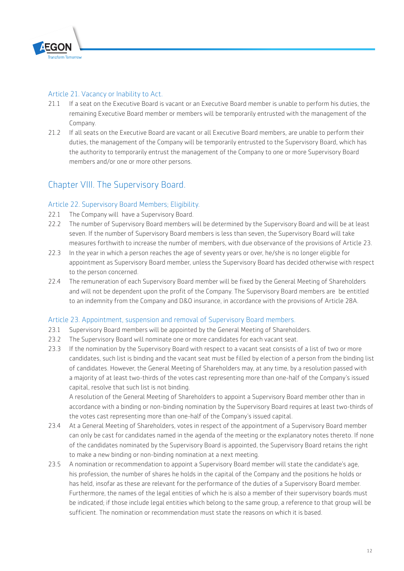

#### Article 21. Vacancy or Inability to Act.

- 21.1 If a seat on the Executive Board is vacant or an Executive Board member is unable to perform his duties, the remaining Executive Board member or members will be temporarily entrusted with the management of the Company.
- 21.2 If all seats on the Executive Board are vacant or all Executive Board members, are unable to perform their duties, the management of the Company will be temporarily entrusted to the Supervisory Board, which has the authority to temporarily entrust the management of the Company to one or more Supervisory Board members and/or one or more other persons.

# Chapter VIII. The Supervisory Board.

#### Article 22. Supervisory Board Members; Eligibility.

- 22.1 The Company will have a Supervisory Board.
- 22.2 The number of Supervisory Board members will be determined by the Supervisory Board and will be at least seven. If the number of Supervisory Board members is less than seven, the Supervisory Board will take measures forthwith to increase the number of members, with due observance of the provisions of Article 23.
- 22.3 In the year in which a person reaches the age of seventy years or over, he/she is no longer eligible for appointment as Supervisory Board member, unless the Supervisory Board has decided otherwise with respect to the person concerned.
- 22.4 The remuneration of each Supervisory Board member will be fixed by the General Meeting of Shareholders and will not be dependent upon the profit of the Company. The Supervisory Board members are be entitled to an indemnity from the Company and D&O insurance, in accordance with the provisions of Article 28A.

#### Article 23. Appointment, suspension and removal of Supervisory Board members.

- 23.1 Supervisory Board members will be appointed by the General Meeting of Shareholders.
- 23.2 The Supervisory Board will nominate one or more candidates for each vacant seat.
- 23.3 If the nomination by the Supervisory Board with respect to a vacant seat consists of a list of two or more candidates, such list is binding and the vacant seat must be filled by election of a person from the binding list of candidates. However, the General Meeting of Shareholders may, at any time, by a resolution passed with a majority of at least two-thirds of the votes cast representing more than one-half of the Company's issued capital, resolve that such list is not binding.

A resolution of the General Meeting of Shareholders to appoint a Supervisory Board member other than in accordance with a binding or non-binding nomination by the Supervisory Board requires at least two-thirds of the votes cast representing more than one-half of the Company's issued capital.

- 23.4 At a General Meeting of Shareholders, votes in respect of the appointment of a Supervisory Board member can only be cast for candidates named in the agenda of the meeting or the explanatory notes thereto. If none of the candidates nominated by the Supervisory Board is appointed, the Supervisory Board retains the right to make a new binding or non-binding nomination at a next meeting.
- 23.5 A nomination or recommendation to appoint a Supervisory Board member will state the candidate's age, his profession, the number of shares he holds in the capital of the Company and the positions he holds or has held, insofar as these are relevant for the performance of the duties of a Supervisory Board member. Furthermore, the names of the legal entities of which he is also a member of their supervisory boards must be indicated; if those include legal entities which belong to the same group, a reference to that group will be sufficient. The nomination or recommendation must state the reasons on which it is based.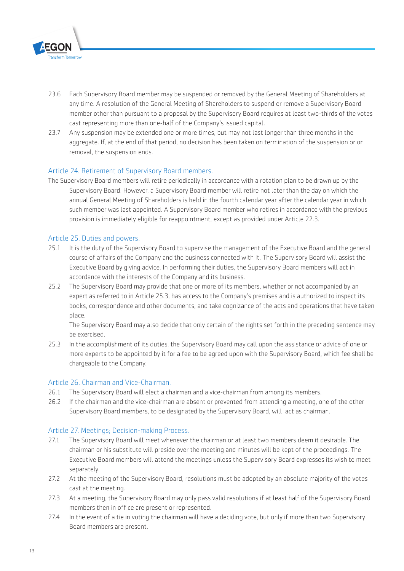

- 23.6 Each Supervisory Board member may be suspended or removed by the General Meeting of Shareholders at any time. A resolution of the General Meeting of Shareholders to suspend or remove a Supervisory Board member other than pursuant to a proposal by the Supervisory Board requires at least two-thirds of the votes cast representing more than one-half of the Company's issued capital.
- 23.7 Any suspension may be extended one or more times, but may not last longer than three months in the aggregate. If, at the end of that period, no decision has been taken on termination of the suspension or on removal, the suspension ends.

#### Article 24. Retirement of Supervisory Board members.

The Supervisory Board members will retire periodically in accordance with a rotation plan to be drawn up by the Supervisory Board. However, a Supervisory Board member will retire not later than the day on which the annual General Meeting of Shareholders is held in the fourth calendar year after the calendar year in which such member was last appointed. A Supervisory Board member who retires in accordance with the previous provision is immediately eligible for reappointment, except as provided under Article 22.3.

#### Article 25. Duties and powers.

- 25.1 It is the duty of the Supervisory Board to supervise the management of the Executive Board and the general course of affairs of the Company and the business connected with it. The Supervisory Board will assist the Executive Board by giving advice. In performing their duties, the Supervisory Board members will act in accordance with the interests of the Company and its business.
- 25.2 The Supervisory Board may provide that one or more of its members, whether or not accompanied by an expert as referred to in Article 25.3, has access to the Company's premises and is authorized to inspect its books, correspondence and other documents, and take cognizance of the acts and operations that have taken place.

The Supervisory Board may also decide that only certain of the rights set forth in the preceding sentence may be exercised.

25.3 In the accomplishment of its duties, the Supervisory Board may call upon the assistance or advice of one or more experts to be appointed by it for a fee to be agreed upon with the Supervisory Board, which fee shall be chargeable to the Company.

#### Article 26. Chairman and Vice-Chairman.

- 26.1 The Supervisory Board will elect a chairman and a vice-chairman from among its members.
- 26.2 If the chairman and the vice-chairman are absent or prevented from attending a meeting, one of the other Supervisory Board members, to be designated by the Supervisory Board, will act as chairman.

#### Article 27. Meetings; Decision-making Process.

- 27.1 The Supervisory Board will meet whenever the chairman or at least two members deem it desirable. The chairman or his substitute will preside over the meeting and minutes will be kept of the proceedings. The Executive Board members will attend the meetings unless the Supervisory Board expresses its wish to meet separately.
- 27.2 At the meeting of the Supervisory Board, resolutions must be adopted by an absolute majority of the votes cast at the meeting.
- 27.3 At a meeting, the Supervisory Board may only pass valid resolutions if at least half of the Supervisory Board members then in office are present or represented.
- 27.4 In the event of a tie in voting the chairman will have a deciding vote, but only if more than two Supervisory Board members are present.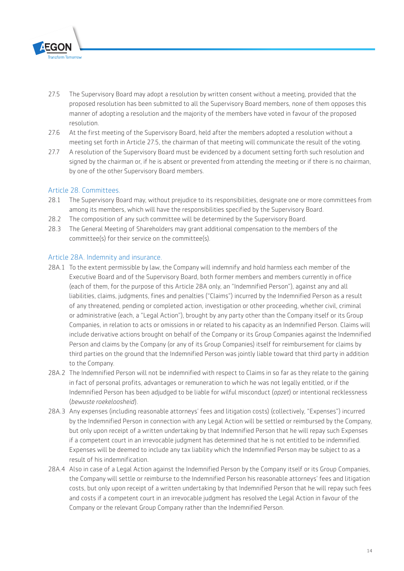

- 27.5 The Supervisory Board may adopt a resolution by written consent without a meeting, provided that the proposed resolution has been submitted to all the Supervisory Board members, none of them opposes this manner of adopting a resolution and the majority of the members have voted in favour of the proposed resolution.
- 27.6 At the first meeting of the Supervisory Board, held after the members adopted a resolution without a meeting set forth in Article 27.5, the chairman of that meeting will communicate the result of the voting.
- 27.7 A resolution of the Supervisory Board must be evidenced by a document setting forth such resolution and signed by the chairman or, if he is absent or prevented from attending the meeting or if there is no chairman, by one of the other Supervisory Board members.

#### Article 28. Committees.

- 28.1 The Supervisory Board may, without prejudice to its responsibilities, designate one or more committees from among its members, which will have the responsibilities specified by the Supervisory Board.
- 28.2 The composition of any such committee will be determined by the Supervisory Board.
- 28.3 The General Meeting of Shareholders may grant additional compensation to the members of the committee(s) for their service on the committee(s).

#### Article 28A. Indemnity and insurance.

- 28A.1 To the extent permissible by law, the Company will indemnify and hold harmless each member of the Executive Board and of the Supervisory Board, both former members and members currently in office (each of them, for the purpose of this Article 28A only, an "Indemnified Person"), against any and all liabilities, claims, judgments, fines and penalties ("Claims") incurred by the Indemnified Person as a result of any threatened, pending or completed action, investigation or other proceeding, whether civil, criminal or administrative (each, a "Legal Action"), brought by any party other than the Company itself or its Group Companies, in relation to acts or omissions in or related to his capacity as an Indemnified Person. Claims will include derivative actions brought on behalf of the Company or its Group Companies against the Indemnified Person and claims by the Company (or any of its Group Companies) itself for reimbursement for claims by third parties on the ground that the Indemnified Person was jointly liable toward that third party in addition to the Company.
- 28A.2 The Indemnified Person will not be indemnified with respect to Claims in so far as they relate to the gaining in fact of personal profits, advantages or remuneration to which he was not legally entitled, or if the Indemnified Person has been adjudged to be liable for wilful misconduct (*opzet*) or intentional recklessness (*bewuste roekeloosheid*).
- 28A.3 Any expenses (including reasonable attorneys' fees and litigation costs) (collectively, "Expenses") incurred by the Indemnified Person in connection with any Legal Action will be settled or reimbursed by the Company, but only upon receipt of a written undertaking by that Indemnified Person that he will repay such Expenses if a competent court in an irrevocable judgment has determined that he is not entitled to be indemnified. Expenses will be deemed to include any tax liability which the Indemnified Person may be subject to as a result of his indemnification.
- 28A.4 Also in case of a Legal Action against the Indemnified Person by the Company itself or its Group Companies, the Company will settle or reimburse to the Indemnified Person his reasonable attorneys' fees and litigation costs, but only upon receipt of a written undertaking by that Indemnified Person that he will repay such fees and costs if a competent court in an irrevocable judgment has resolved the Legal Action in favour of the Company or the relevant Group Company rather than the Indemnified Person.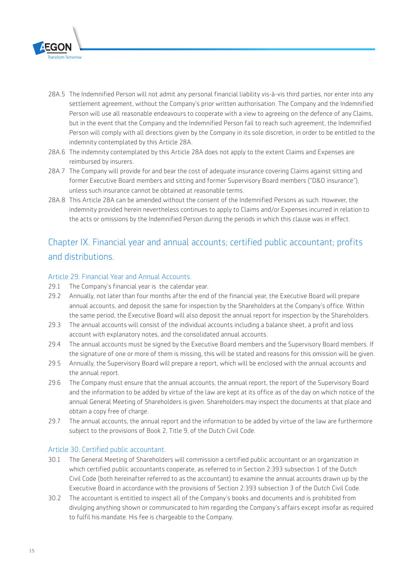

- 28A.5 The Indemnified Person will not admit any personal financial liability vis-à-vis third parties, nor enter into any settlement agreement, without the Company's prior written authorisation. The Company and the Indemnified Person will use all reasonable endeavours to cooperate with a view to agreeing on the defence of any Claims, but in the event that the Company and the Indemnified Person fail to reach such agreement, the Indemnified Person will comply with all directions given by the Company in its sole discretion, in order to be entitled to the indemnity contemplated by this Article 28A.
- 28A.6 The indemnity contemplated by this Article 28A does not apply to the extent Claims and Expenses are reimbursed by insurers.
- 28A.7 The Company will provide for and bear the cost of adequate insurance covering Claims against sitting and former Executive Board members and sitting and former Supervisory Board members ("D&O insurance"), unless such insurance cannot be obtained at reasonable terms.
- 28A.8 This Article 28A can be amended without the consent of the Indemnified Persons as such. However, the indemnity provided herein nevertheless continues to apply to Claims and/or Expenses incurred in relation to the acts or omissions by the Indemnified Person during the periods in which this clause was in effect.

# Chapter IX. Financial year and annual accounts; certified public accountant; profits and distributions.

#### Article 29. Financial Year and Annual Accounts.

- 29.1 The Company's financial year is the calendar year.
- 29.2 Annually, not later than four months after the end of the financial year, the Executive Board will prepare annual accounts, and deposit the same for inspection by the Shareholders at the Company's office. Within the same period, the Executive Board will also deposit the annual report for inspection by the Shareholders.
- 29.3 The annual accounts will consist of the individual accounts including a balance sheet, a profit and loss account with explanatory notes, and the consolidated annual accounts.
- 29.4 The annual accounts must be signed by the Executive Board members and the Supervisory Board members. If the signature of one or more of them is missing, this will be stated and reasons for this omission will be given.
- 29.5 Annually, the Supervisory Board will prepare a report, which will be enclosed with the annual accounts and the annual report.
- 29.6 The Company must ensure that the annual accounts, the annual report, the report of the Supervisory Board and the information to be added by virtue of the law are kept at its office as of the day on which notice of the annual General Meeting of Shareholders is given. Shareholders may inspect the documents at that place and obtain a copy free of charge.
- 29.7 The annual accounts, the annual report and the information to be added by virtue of the law are furthermore subject to the provisions of Book 2, Title 9, of the Dutch Civil Code.

#### Article 30. Certified public accountant.

- 30.1 The General Meeting of Shareholders will commission a certified public accountant or an organization in which certified public accountants cooperate, as referred to in Section 2:393 subsection 1 of the Dutch Civil Code (both hereinafter referred to as the accountant) to examine the annual accounts drawn up by the Executive Board in accordance with the provisions of Section 2:393 subsection 3 of the Dutch Civil Code.
- 30.2 The accountant is entitled to inspect all of the Company's books and documents and is prohibited from divulging anything shown or communicated to him regarding the Company's affairs except insofar as required to fulfil his mandate. His fee is chargeable to the Company.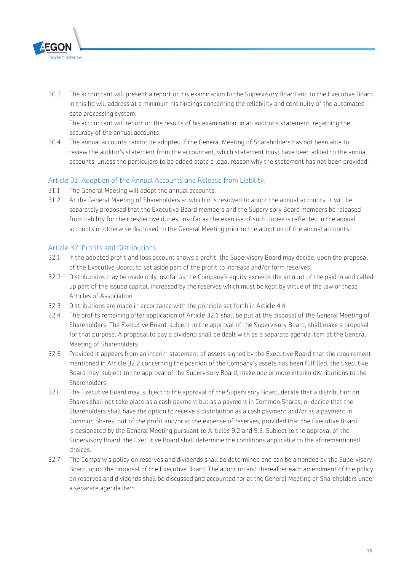

30.3 The accountant will present a report on his examination to the Supervisory Board and to the Executive Board. In this he will address at a minimum his findings concerning the reliability and continuity of the automated data processing system.

The accountant will report on the results of his examination, in an auditor's statement, regarding the accuracy of the annual accounts.

30.4 The annual accounts cannot be adopted if the General Meeting of Shareholders has not been able to review the auditor's statement from the accountant, which statement must have been added to the annual accounts, unless the particulars to be added state a legal reason why the statement has not been provided.

#### Article 31. Adoption of the Annual Accounts and Release from Liability.

- 31.1 The General Meeting will adopt the annual accounts.
- 31.2 At the General Meeting of Shareholders at which it is resolved to adopt the annual accounts, it will be separately proposed that the Executive Board members and the Supervisory Board members be released from liability for their respective duties, insofar as the exercise of such duties is reflected in the annual accounts or otherwise disclosed to the General Meeting prior to the adoption of the annual accounts.

#### Article 32. Profits and Distributions.

- 32.1 If the adopted profit and loss account shows a profit, the Supervisory Board may decide, upon the proposal of the Executive Board, to set aside part of the profit to increase and/or form reserves.
- 32.2 Distributions may be made only insofar as the Company's equity exceeds the amount of the paid in and called up part of the issued capital, increased by the reserves which must be kept by virtue of the law or these Articles of Association.
- 32.3 Distributions are made in accordance with the principle set forth in Article 4.4.
- 32.4 The profits remaining after application of Article 32.1 shall be put at the disposal of the General Meeting of Shareholders. The Executive Board, subject to the approval of the Supervisory Board, shall make a proposal for that purpose. A proposal to pay a dividend shall be dealt with as a separate agenda item at the General Meeting of Shareholders.
- 32.5 Provided it appears from an interim statement of assets signed by the Executive Board that the requirement mentioned in Article 32.2 concerning the position of the Company's assets has been fulfilled, the Executive Board may, subject to the approval of the Supervisory Board, make one or more interim distributions to the Shareholders.
- 32.6 The Executive Board may, subject to the approval of the Supervisory Board, decide that a distribution on Shares shall not take place as a cash payment but as a payment in Common Shares, or decide that the Shareholders shall have the option to receive a distribution as a cash payment and/or as a payment in Common Shares, out of the profit and/or at the expense of reserves, provided that the Executive Board is designated by the General Meeting pursuant to Articles 9.2 and 9.3. Subject to the approval of the Supervisory Board, the Executive Board shall determine the conditions applicable to the aforementioned choices.
- 32.7 The Company's policy on reserves and dividends shall be determined and can be amended by the Supervisory Board, upon the proposal of the Executive Board. The adoption and thereafter each amendment of the policy on reserves and dividends shall be discussed and accounted for at the General Meeting of Shareholders under a separate agenda item.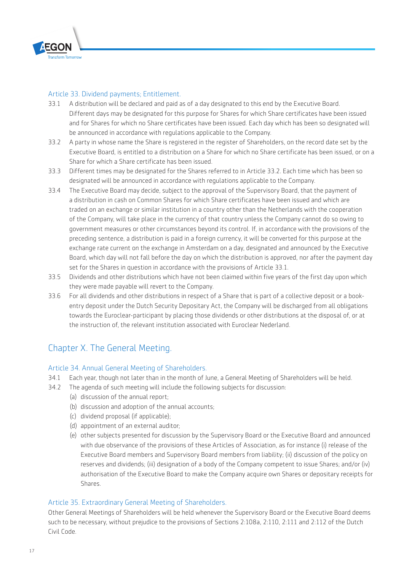

#### Article 33. Dividend payments; Entitlement.

- 33.1 A distribution will be declared and paid as of a day designated to this end by the Executive Board. Different days may be designated for this purpose for Shares for which Share certificates have been issued and for Shares for which no Share certificates have been issued. Each day which has been so designated will be announced in accordance with regulations applicable to the Company.
- 33.2 A party in whose name the Share is registered in the register of Shareholders, on the record date set by the Executive Board, is entitled to a distribution on a Share for which no Share certificate has been issued, or on a Share for which a Share certificate has been issued.
- 33.3 Different times may be designated for the Shares referred to in Article 33.2. Each time which has been so designated will be announced in accordance with regulations applicable to the Company.
- 33.4 The Executive Board may decide, subject to the approval of the Supervisory Board, that the payment of a distribution in cash on Common Shares for which Share certificates have been issued and which are traded on an exchange or similar institution in a country other than the Netherlands with the cooperation of the Company, will take place in the currency of that country unless the Company cannot do so owing to government measures or other circumstances beyond its control. If, in accordance with the provisions of the preceding sentence, a distribution is paid in a foreign currency, it will be converted for this purpose at the exchange rate current on the exchange in Amsterdam on a day, designated and announced by the Executive Board, which day will not fall before the day on which the distribution is approved, nor after the payment day set for the Shares in question in accordance with the provisions of Article 33.1.
- 33.5 Dividends and other distributions which have not been claimed within five years of the first day upon which they were made payable will revert to the Company.
- 33.6 For all dividends and other distributions in respect of a Share that is part of a collective deposit or a bookentry deposit under the Dutch Security Depositary Act, the Company will be discharged from all obligations towards the Euroclear-participant by placing those dividends or other distributions at the disposal of, or at the instruction of, the relevant institution associated with Euroclear Nederland.

# Chapter X. The General Meeting.

#### Article 34. Annual General Meeting of Shareholders.

- 34.1 Each year, though not later than in the month of June, a General Meeting of Shareholders will be held.
- 34.2 The agenda of such meeting will include the following subjects for discussion:
	- (a) discussion of the annual report;
	- (b) discussion and adoption of the annual accounts;
	- (c) dividend proposal (if applicable);
	- (d) appointment of an external auditor;
	- (e) other subjects presented for discussion by the Supervisory Board or the Executive Board and announced with due observance of the provisions of these Articles of Association, as for instance (i) release of the Executive Board members and Supervisory Board members from liability; (ii) discussion of the policy on reserves and dividends; (iii) designation of a body of the Company competent to issue Shares; and/or (iv) authorisation of the Executive Board to make the Company acquire own Shares or depositary receipts for Shares.

#### Article 35. Extraordinary General Meeting of Shareholders.

Other General Meetings of Shareholders will be held whenever the Supervisory Board or the Executive Board deems such to be necessary, without prejudice to the provisions of Sections 2:108a, 2:110, 2:111 and 2:112 of the Dutch Civil Code.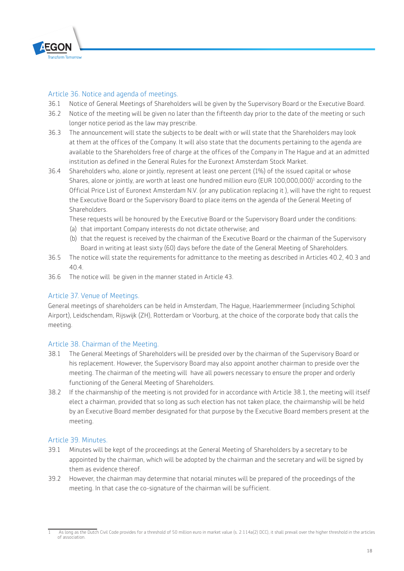

#### Article 36. Notice and agenda of meetings.

- 36.1 Notice of General Meetings of Shareholders will be given by the Supervisory Board or the Executive Board.
- 36.2 Notice of the meeting will be given no later than the fifteenth day prior to the date of the meeting or such longer notice period as the law may prescribe.
- 36.3 The announcement will state the subjects to be dealt with or will state that the Shareholders may look at them at the offices of the Company. It will also state that the documents pertaining to the agenda are available to the Shareholders free of charge at the offices of the Company in The Hague and at an admitted institution as defined in the General Rules for the Euronext Amsterdam Stock Market.
- 36.4 Shareholders who, alone or jointly, represent at least one percent (1%) of the issued capital or whose Shares, alone or jointly, are worth at least one hundred million euro (EUR 100,000,000)<sup>1</sup> according to the Official Price List of Euronext Amsterdam N.V. (or any publication replacing it ), will have the right to request the Executive Board or the Supervisory Board to place items on the agenda of the General Meeting of Shareholders.

These requests will be honoured by the Executive Board or the Supervisory Board under the conditions:

- (a) that important Company interests do not dictate otherwise; and
- (b) that the request is received by the chairman of the Executive Board or the chairman of the Supervisory Board in writing at least sixty (60) days before the date of the General Meeting of Shareholders.
- 36.5 The notice will state the requirements for admittance to the meeting as described in Articles 40.2, 40.3 and  $40.4$
- 36.6 The notice will be given in the manner stated in Article 43.

#### Article 37. Venue of Meetings.

General meetings of shareholders can be held in Amsterdam, The Hague, Haarlemmermeer (including Schiphol Airport), Leidschendam, Rijswijk (ZH), Rotterdam or Voorburg, at the choice of the corporate body that calls the meeting.

#### Article 38. Chairman of the Meeting.

- 38.1 The General Meetings of Shareholders will be presided over by the chairman of the Supervisory Board or his replacement. However, the Supervisory Board may also appoint another chairman to preside over the meeting. The chairman of the meeting will have all powers necessary to ensure the proper and orderly functioning of the General Meeting of Shareholders.
- 38.2 If the chairmanship of the meeting is not provided for in accordance with Article 38.1, the meeting will itself elect a chairman, provided that so long as such election has not taken place, the chairmanship will be held by an Executive Board member designated for that purpose by the Executive Board members present at the meeting.

#### Article 39. Minutes.

- 39.1 Minutes will be kept of the proceedings at the General Meeting of Shareholders by a secretary to be appointed by the chairman, which will be adopted by the chairman and the secretary and will be signed by them as evidence thereof.
- 39.2 However, the chairman may determine that notarial minutes will be prepared of the proceedings of the meeting. In that case the co-signature of the chairman will be sufficient.

<sup>1</sup> As long as the Dutch Civil Code provides for a threshold of 50 million euro in market value (s. 2:114a(2) DCC), it shall prevail over the higher threshold in the articles of association.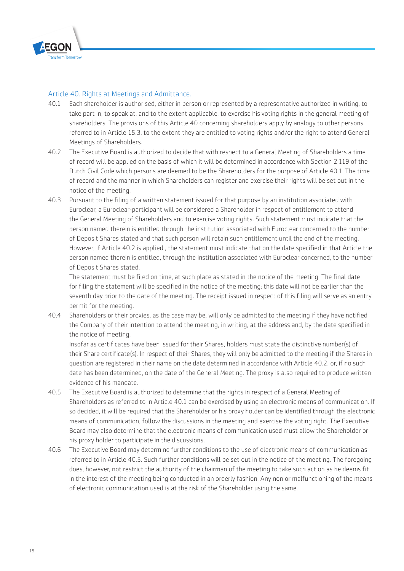

#### Article 40. Rights at Meetings and Admittance.

- 40.1 Each shareholder is authorised, either in person or represented by a representative authorized in writing, to take part in, to speak at, and to the extent applicable, to exercise his voting rights in the general meeting of shareholders. The provisions of this Article 40 concerning shareholders apply by analogy to other persons referred to in Article 15.3, to the extent they are entitled to voting rights and/or the right to attend General Meetings of Shareholders.
- 40.2 The Executive Board is authorized to decide that with respect to a General Meeting of Shareholders a time of record will be applied on the basis of which it will be determined in accordance with Section 2:119 of the Dutch Civil Code which persons are deemed to be the Shareholders for the purpose of Article 40.1. The time of record and the manner in which Shareholders can register and exercise their rights will be set out in the notice of the meeting.
- 40.3 Pursuant to the filing of a written statement issued for that purpose by an institution associated with Euroclear, a Euroclear-participant will be considered a Shareholder in respect of entitlement to attend the General Meeting of Shareholders and to exercise voting rights. Such statement must indicate that the person named therein is entitled through the institution associated with Euroclear concerned to the number of Deposit Shares stated and that such person will retain such entitlement until the end of the meeting. However, if Article 40.2 is applied , the statement must indicate that on the date specified in that Article the person named therein is entitled, through the institution associated with Euroclear concerned, to the number of Deposit Shares stated.

The statement must be filed on time, at such place as stated in the notice of the meeting. The final date for filing the statement will be specified in the notice of the meeting; this date will not be earlier than the seventh day prior to the date of the meeting. The receipt issued in respect of this filing will serve as an entry permit for the meeting.

40.4 Shareholders or their proxies, as the case may be, will only be admitted to the meeting if they have notified the Company of their intention to attend the meeting, in writing, at the address and, by the date specified in the notice of meeting.

Insofar as certificates have been issued for their Shares, holders must state the distinctive number(s) of their Share certificate(s). In respect of their Shares, they will only be admitted to the meeting if the Shares in question are registered in their name on the date determined in accordance with Article 40.2. or, if no such date has been determined, on the date of the General Meeting. The proxy is also required to produce written evidence of his mandate.

- 40.5 The Executive Board is authorized to determine that the rights in respect of a General Meeting of Shareholders as referred to in Article 40.1 can be exercised by using an electronic means of communication. If so decided, it will be required that the Shareholder or his proxy holder can be identified through the electronic means of communication, follow the discussions in the meeting and exercise the voting right. The Executive Board may also determine that the electronic means of communication used must allow the Shareholder or his proxy holder to participate in the discussions.
- 40.6 The Executive Board may determine further conditions to the use of electronic means of communication as referred to in Article 40.5. Such further conditions will be set out in the notice of the meeting. The foregoing does, however, not restrict the authority of the chairman of the meeting to take such action as he deems fit in the interest of the meeting being conducted in an orderly fashion. Any non or malfunctioning of the means of electronic communication used is at the risk of the Shareholder using the same.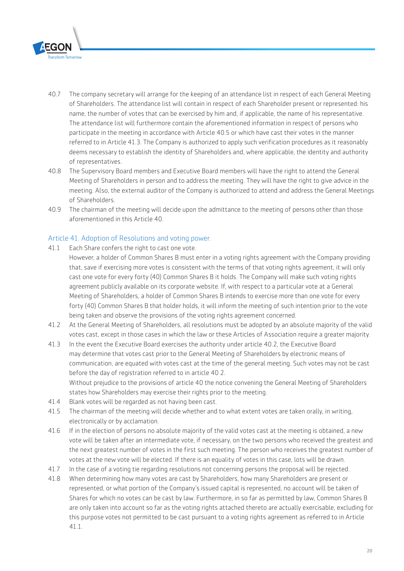

- 40.7 The company secretary will arrange for the keeping of an attendance list in respect of each General Meeting of Shareholders. The attendance list will contain in respect of each Shareholder present or represented: his name, the number of votes that can be exercised by him and, if applicable, the name of his representative. The attendance list will furthermore contain the aforementioned information in respect of persons who participate in the meeting in accordance with Article 40.5 or which have cast their votes in the manner referred to in Article 41.3. The Company is authorized to apply such verification procedures as it reasonably deems necessary to establish the identity of Shareholders and, where applicable, the identity and authority of representatives.
- 40.8 The Supervisory Board members and Executive Board members will have the right to attend the General Meeting of Shareholders in person and to address the meeting. They will have the right to give advice in the meeting. Also, the external auditor of the Company is authorized to attend and address the General Meetings of Shareholders.
- 40.9 The chairman of the meeting will decide upon the admittance to the meeting of persons other than those aforementioned in this Article 40.

#### Article 41. Adoption of Resolutions and voting power.

- 41.1 Each Share confers the right to cast one vote.
	- However, a holder of Common Shares B must enter in a voting rights agreement with the Company providing that, save if exercising more votes is consistent with the terms of that voting rights agreement, it will only cast one vote for every forty (40) Common Shares B it holds. The Company will make such voting rights agreement publicly available on its corporate website. If, with respect to a particular vote at a General Meeting of Shareholders, a holder of Common Shares B intends to exercise more than one vote for every forty (40) Common Shares B that holder holds, it will inform the meeting of such intention prior to the vote being taken and observe the provisions of the voting rights agreement concerned.
- 41.2 At the General Meeting of Shareholders, all resolutions must be adopted by an absolute majority of the valid votes cast, except in those cases in which the law or these Articles of Association require a greater majority.
- 41.3 In the event the Executive Board exercises the authority under article 40.2, the Executive Board may determine that votes cast prior to the General Meeting of Shareholders by electronic means of communication, are equated with votes cast at the time of the general meeting. Such votes may not be cast before the day of registration referred to in article 40 2. Without prejudice to the provisions of article 40 the notice convening the General Meeting of Shareholders states how Shareholders may exercise their rights prior to the meeting.
- 41.4 Blank votes will be regarded as not having been cast.
- 41.5 The chairman of the meeting will decide whether and to what extent votes are taken orally, in writing, electronically or by acclamation.
- 41.6 If in the election of persons no absolute majority of the valid votes cast at the meeting is obtained, a new vote will be taken after an intermediate vote, if necessary, on the two persons who received the greatest and the next greatest number of votes in the first such meeting. The person who receives the greatest number of votes at the new vote will be elected. If there is an equality of votes in this case, lots will be drawn.
- 41.7 In the case of a voting tie regarding resolutions not concerning persons the proposal will be rejected.
- 41.8 When determining how many votes are cast by Shareholders, how many Shareholders are present or represented, or what portion of the Company's issued capital is represented, no account will be taken of Shares for which no votes can be cast by law. Furthermore, in so far as permitted by law, Common Shares B are only taken into account so far as the voting rights attached thereto are actually exercisable, excluding for this purpose votes not permitted to be cast pursuant to a voting rights agreement as referred to in Article 41.1.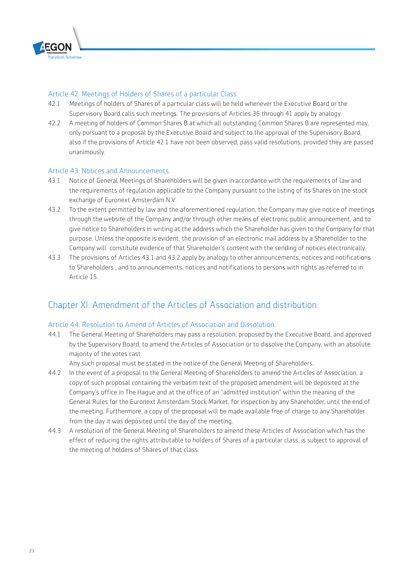

#### Article 42. Meetings of Holders of Shares of a particular Class.

- 42.1 Meetings of holders of Shares of a particular class will be held whenever the Executive Board or the Supervisory Board calls such meetings. The provisions of Articles 36 through 41 apply by analogy.
- 42.2 A meeting of holders of Common Shares B at which all outstanding Common Shares B are represented may, only pursuant to a proposal by the Executive Board and subject to the approval of the Supervisory Board, also if the provisions of Article 42.1 have not been observed, pass valid resolutions, provided they are passed unanimously.

#### Article 43. Notices and Announcements.

- 43.1 Notice of General Meetings of Shareholders will be given in accordance with the requirements of law and the requirements of regulation applicable to the Company pursuant to the listing of its Shares on the stock exchange of Euronext Amsterdam N.V.
- 43.2 To the extent permitted by law and the aforementioned regulation, the Company may give notice of meetings through the website of the Company and/or through other means of electronic public announcement, and to give notice to Shareholders in writing at the address which the Shareholder has given to the Company for that purpose. Unless the opposite is evident, the provision of an electronic mail address by a Shareholder to the Company will constitute evidence of that Shareholder's consent with the sending of notices electronically.
- 43.3 The provisions of Articles 43.1 and 43.2 apply by analogy to other announcements, notices and notifications to Shareholders , and to announcements, notices and notifications to persons with rights as referred to in Article 15.

# Chapter XI. Amendment of the Articles of Association and distribution.

#### Article 44. Resolution to Amend of Articles of Association and Dissolution.

44.1 The General Meeting of Shareholders may pass a resolution, proposed by the Executive Board, and approved by the Supervisory Board, to amend the Articles of Association or to dissolve the Company, with an absolute majority of the votes cast.

Any such proposal must be stated in the notice of the General Meeting of Shareholders.

- 44.2 In the event of a proposal to the General Meeting of Shareholders to amend the Articles of Association, a copy of such proposal containing the verbatim text of the proposed amendment will be deposited at the Company's office in The Hague and at the office of an "admitted institution" within the meaning of the General Rules for the Euronext Amsterdam Stock Market, for inspection by any Shareholder, until the end of the meeting. Furthermore, a copy of the proposal will be made available free of charge to any Shareholder from the day it was deposited until the day of the meeting.
- 44.3 A resolution of the General Meeting of Shareholders to amend these Articles of Association which has the effect of reducing the rights attributable to holders of Shares of a particular class, is subject to approval of the meeting of holders of Shares of that class.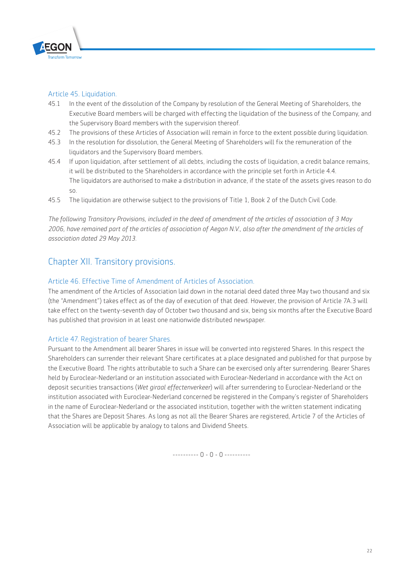

#### Article 45. Liquidation.

- 45.1 In the event of the dissolution of the Company by resolution of the General Meeting of Shareholders, the Executive Board members will be charged with effecting the liquidation of the business of the Company, and the Supervisory Board members with the supervision thereof.
- 45.2 The provisions of these Articles of Association will remain in force to the extent possible during liquidation.
- 45.3 In the resolution for dissolution, the General Meeting of Shareholders will fix the remuneration of the liquidators and the Supervisory Board members.
- 45.4 If upon liquidation, after settlement of all debts, including the costs of liquidation, a credit balance remains, it will be distributed to the Shareholders in accordance with the principle set forth in Article 4.4. The liquidators are authorised to make a distribution in advance, if the state of the assets gives reason to do so.
- 45.5 The liquidation are otherwise subject to the provisions of Title 1, Book 2 of the Dutch Civil Code.

*The following Transitory Provisions, included in the deed of amendment of the articles of association of 3 May 2006, have remained part of the articles of association of Aegon N.V., also after the amendment of the articles of association dated 29 May 2013.*

# Chapter XII. Transitory provisions.

#### Article 46. Effective Time of Amendment of Articles of Association.

The amendment of the Articles of Association laid down in the notarial deed dated three May two thousand and six (the "Amendment") takes effect as of the day of execution of that deed. However, the provision of Article 7A.3 will take effect on the twenty-seventh day of October two thousand and six, being six months after the Executive Board has published that provision in at least one nationwide distributed newspaper.

#### Article 47. Registration of bearer Shares.

Pursuant to the Amendment all bearer Shares in issue will be converted into registered Shares. In this respect the Shareholders can surrender their relevant Share certificates at a place designated and published for that purpose by the Executive Board. The rights attributable to such a Share can be exercised only after surrendering. Bearer Shares held by Euroclear-Nederland or an institution associated with Euroclear-Nederland in accordance with the Act on deposit securities transactions (*Wet giraal effectenverkeer*) will after surrendering to Euroclear-Nederland or the institution associated with Euroclear-Nederland concerned be registered in the Company's register of Shareholders in the name of Euroclear-Nederland or the associated institution, together with the written statement indicating that the Shares are Deposit Shares. As long as not all the Bearer Shares are registered, Article 7 of the Articles of Association will be applicable by analogy to talons and Dividend Sheets.

---------- 0 - 0 - 0 ----------